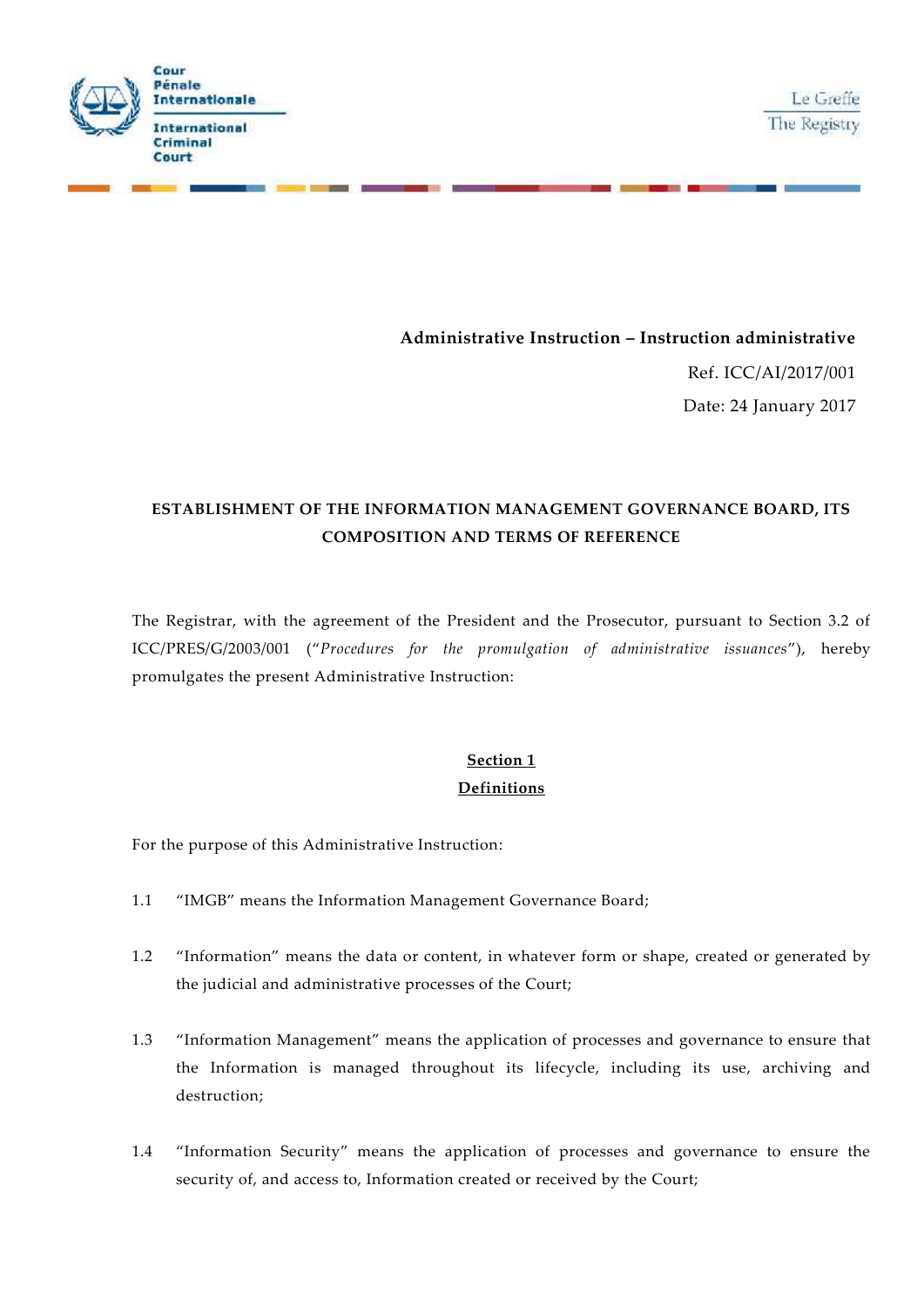



#### **Administrative Instruction – Instruction administrative**

Ref. ICC/AI/2017/001 Date: 24 January 2017

## **ESTABLISHMENT OF THE INFORMATION MANAGEMENT GOVERNANCE BOARD, ITS COMPOSITION AND TERMS OF REFERENCE**

The Registrar, with the agreement of the President and the Prosecutor, pursuant to Section 3.2 of ICC/PRES/G/2003/001 ("*Procedures for the promulgation of administrative issuances*"), hereby promulgates the present Administrative Instruction:

# **Section 1 Definitions**

For the purpose of this Administrative Instruction:

- 1.1 "IMGB" means the Information Management Governance Board;
- 1.2 "Information" means the data or content, in whatever form or shape, created or generated by the judicial and administrative processes of the Court;
- 1.3 "Information Management" means the application of processes and governance to ensure that the Information is managed throughout its lifecycle, including its use, archiving and destruction;
- 1.4 "Information Security" means the application of processes and governance to ensure the security of, and access to, Information created or received by the Court;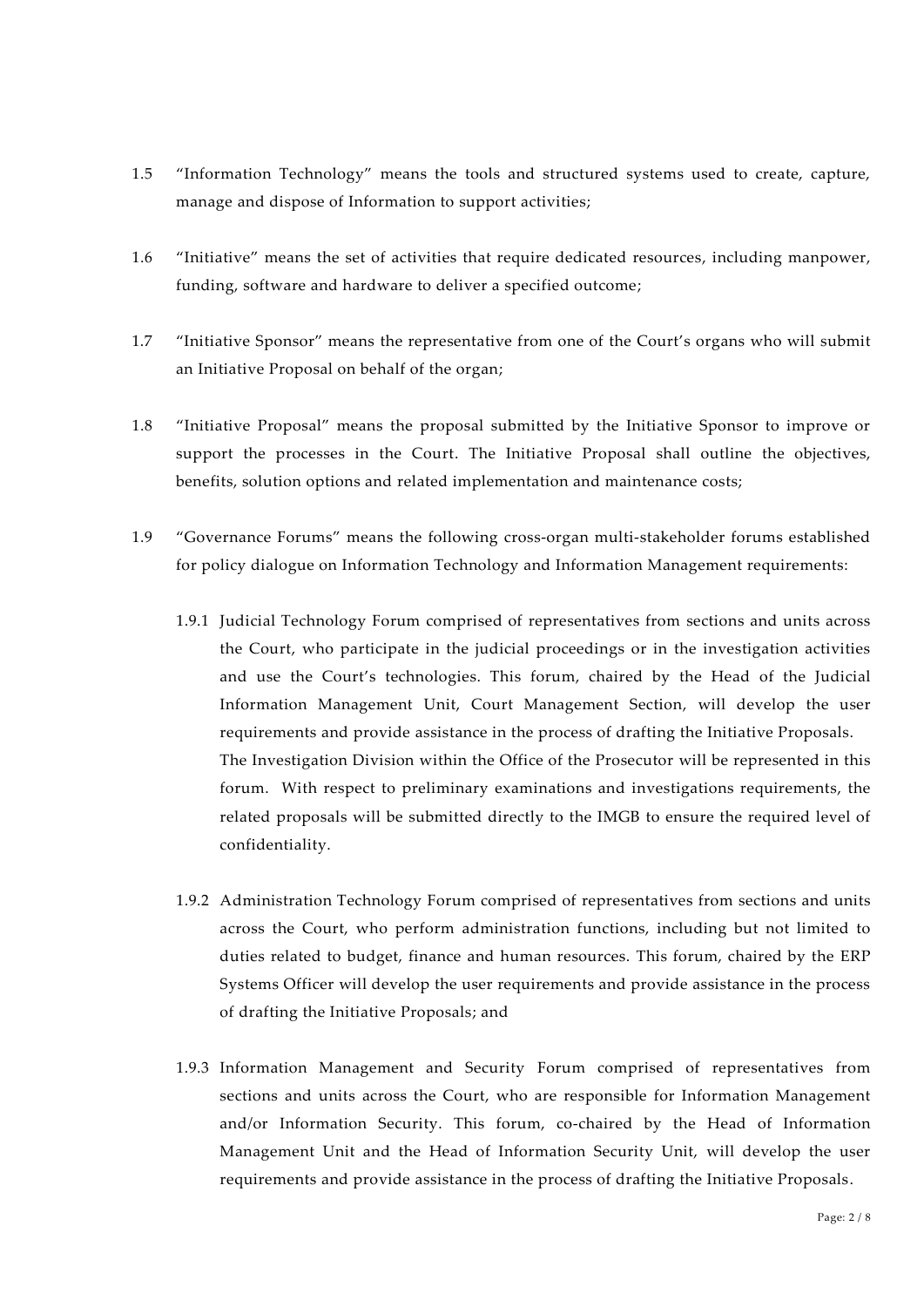- 1.5 "Information Technology" means the tools and structured systems used to create, capture, manage and dispose of Information to support activities;
- 1.6 "Initiative" means the set of activities that require dedicated resources, including manpower, funding, software and hardware to deliver a specified outcome;
- 1.7 "Initiative Sponsor" means the representative from one of the Court's organs who will submit an Initiative Proposal on behalf of the organ;
- 1.8 "Initiative Proposal" means the proposal submitted by the Initiative Sponsor to improve or support the processes in the Court. The Initiative Proposal shall outline the objectives, benefits, solution options and related implementation and maintenance costs;
- 1.9 "Governance Forums" means the following cross-organ multi-stakeholder forums established for policy dialogue on Information Technology and Information Management requirements:
	- 1.9.1 Judicial Technology Forum comprised of representatives from sections and units across the Court, who participate in the judicial proceedings or in the investigation activities and use the Court's technologies. This forum, chaired by the Head of the Judicial Information Management Unit, Court Management Section, will develop the user requirements and provide assistance in the process of drafting the Initiative Proposals. The Investigation Division within the Office of the Prosecutor will be represented in this forum. With respect to preliminary examinations and investigations requirements, the related proposals will be submitted directly to the IMGB to ensure the required level of confidentiality.
	- 1.9.2 Administration Technology Forum comprised of representatives from sections and units across the Court, who perform administration functions, including but not limited to duties related to budget, finance and human resources. This forum, chaired by the ERP Systems Officer will develop the user requirements and provide assistance in the process of drafting the Initiative Proposals; and
	- 1.9.3 Information Management and Security Forum comprised of representatives from sections and units across the Court, who are responsible for Information Management and/or Information Security. This forum, co-chaired by the Head of Information Management Unit and the Head of Information Security Unit, will develop the user requirements and provide assistance in the process of drafting the Initiative Proposals.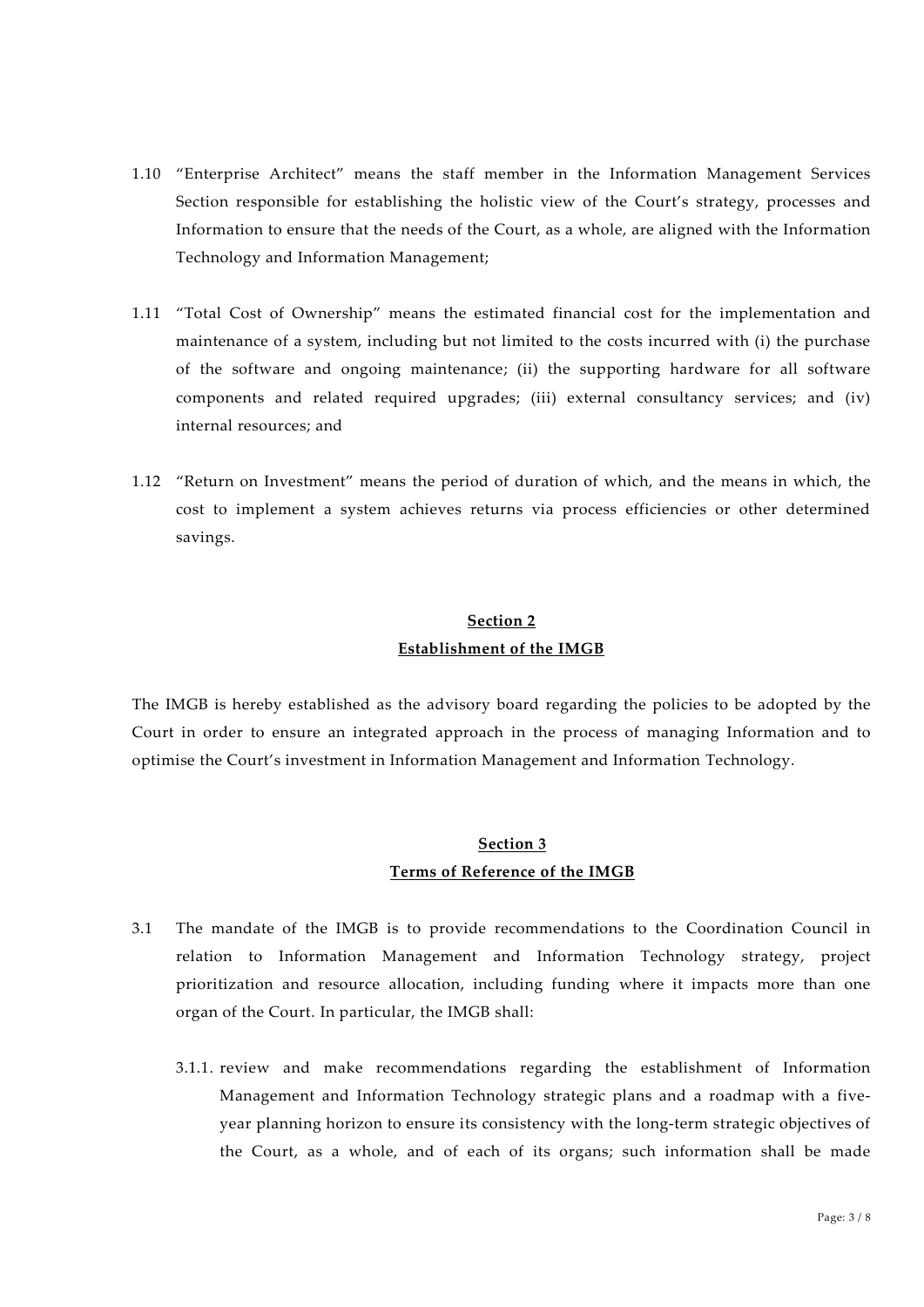- 1.10 "Enterprise Architect" means the staff member in the Information Management Services Section responsible for establishing the holistic view of the Court's strategy, processes and Information to ensure that the needs of the Court, as a whole, are aligned with the Information Technology and Information Management;
- 1.11 "Total Cost of Ownership" means the estimated financial cost for the implementation and maintenance of a system, including but not limited to the costs incurred with (i) the purchase of the software and ongoing maintenance; (ii) the supporting hardware for all software components and related required upgrades; (iii) external consultancy services; and (iv) internal resources; and
- 1.12 "Return on Investment" means the period of duration of which, and the means in which, the cost to implement a system achieves returns via process efficiencies or other determined savings.

## **Section 2 Establishment of the IMGB**

The IMGB is hereby established as the advisory board regarding the policies to be adopted by the Court in order to ensure an integrated approach in the process of managing Information and to optimise the Court's investment in Information Management and Information Technology.

### **Section 3 Terms of Reference of the IMGB**

- 3.1 The mandate of the IMGB is to provide recommendations to the Coordination Council in relation to Information Management and Information Technology strategy, project prioritization and resource allocation, including funding where it impacts more than one organ of the Court. In particular, the IMGB shall:
	- 3.1.1. review and make recommendations regarding the establishment of Information Management and Information Technology strategic plans and a roadmap with a five year planning horizon to ensure its consistency with the long-term strategic objectives of the Court, as a whole, and of each of its organs; such information shall be made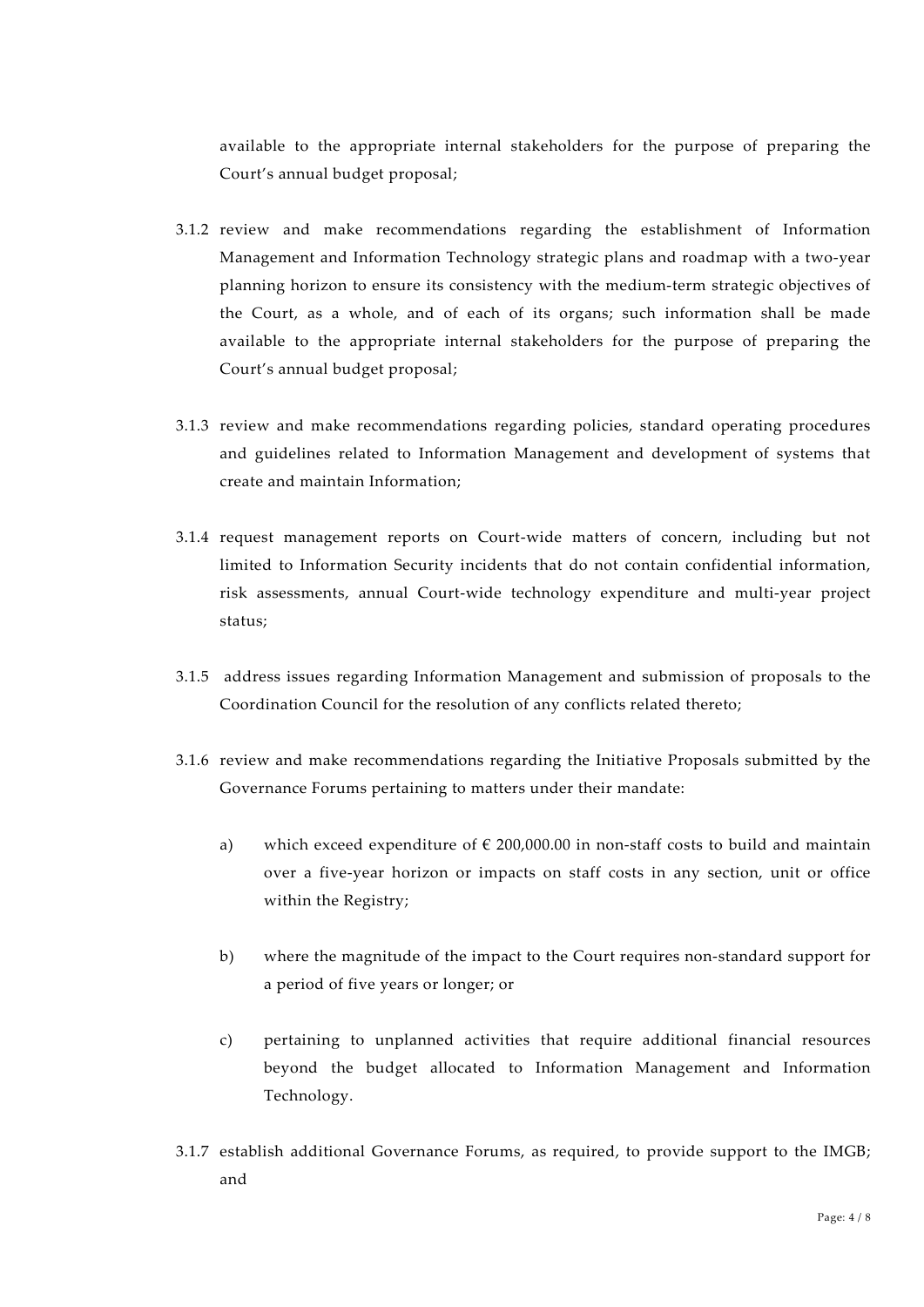available to the appropriate internal stakeholders for the purpose of preparing the Court's annual budget proposal;

- 3.1.2 review and make recommendations regarding the establishment of Information Management and Information Technology strategic plans and roadmap with a two-year planning horizon to ensure its consistency with the medium-term strategic objectives of the Court, as a whole, and of each of its organs; such information shall be made available to the appropriate internal stakeholders for the purpose of preparing the Court's annual budget proposal;
- 3.1.3 review and make recommendations regarding policies, standard operating procedures and guidelines related to Information Management and development of systems that create and maintain Information;
- 3.1.4 request management reports on Court-wide matters of concern, including but not limited to Information Security incidents that do not contain confidential information, risk assessments, annual Court-wide technology expenditure and multi-year project status;
- 3.1.5 address issues regarding Information Management and submission of proposals to the Coordination Council for the resolution of any conflicts related thereto;
- 3.1.6 review and make recommendations regarding the Initiative Proposals submitted by the Governance Forums pertaining to matters under their mandate:
	- a) which exceed expenditure of  $\epsilon$  200,000.00 in non-staff costs to build and maintain over a five-year horizon or impacts on staff costs in any section, unit or office within the Registry;
	- b) where the magnitude of the impact to the Court requires non-standard support for a period of five years or longer; or
	- c) pertaining to unplanned activities that require additional financial resources beyond the budget allocated to Information Management and Information Technology.
- 3.1.7 establish additional Governance Forums, as required, to provide support to the IMGB; and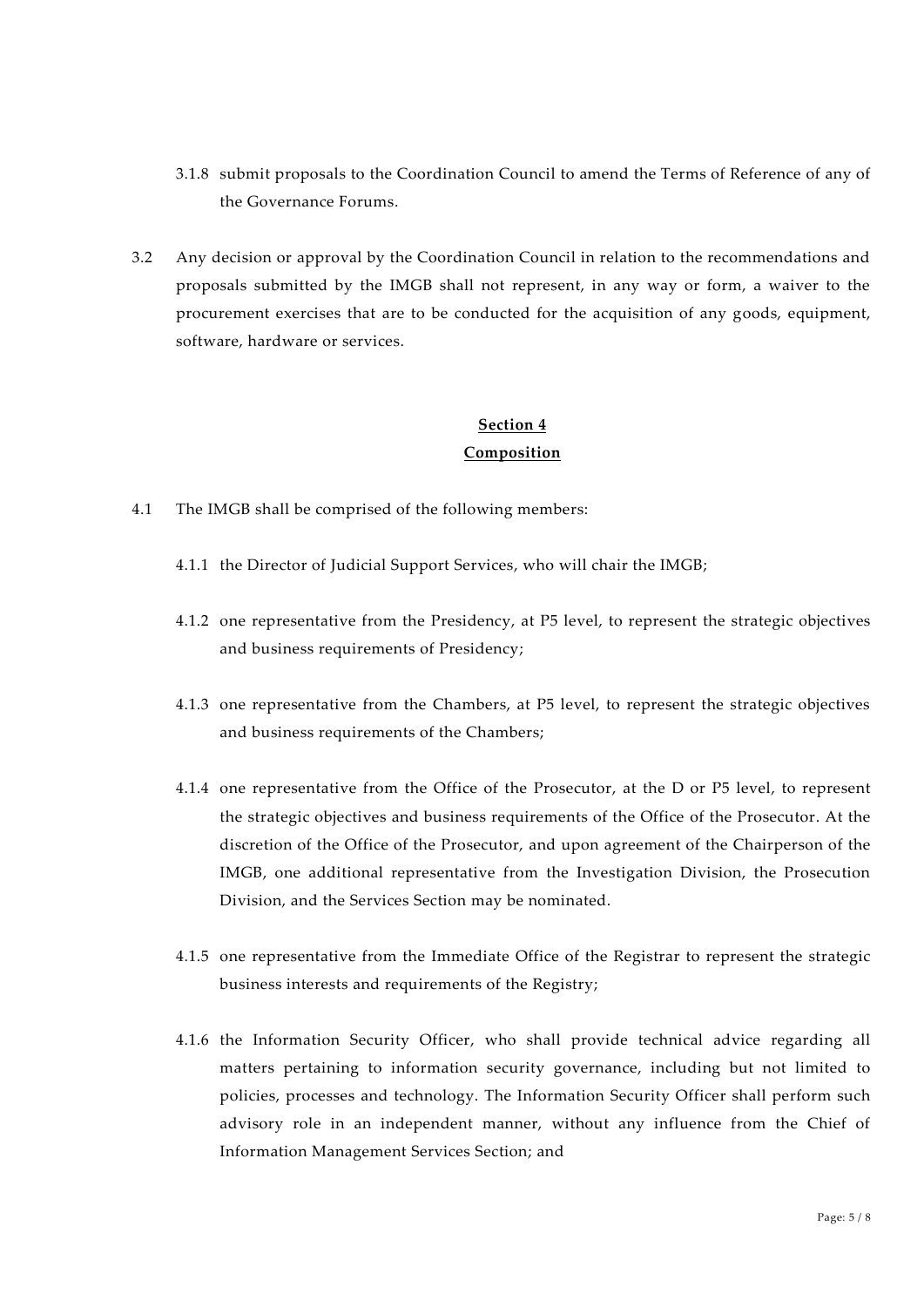- 3.1.8 submit proposals to the Coordination Council to amend the Terms of Reference of any of the Governance Forums.
- 3.2 Any decision or approval by the Coordination Council in relation to the recommendations and proposals submitted by the IMGB shall not represent, in any way or form, a waiver to the procurement exercises that are to be conducted for the acquisition of any goods, equipment, software, hardware or services.

### **Section 4 Composition**

- 4.1 The IMGB shall be comprised of the following members:
	- 4.1.1 the Director of Judicial Support Services, who will chair the IMGB;
	- 4.1.2 one representative from the Presidency, at P5 level, to represent the strategic objectives and business requirements of Presidency;
	- 4.1.3 one representative from the Chambers, at P5 level, to represent the strategic objectives and business requirements of the Chambers;
	- 4.1.4 one representative from the Office of the Prosecutor, at the D or P5 level, to represent the strategic objectives and business requirements of the Office of the Prosecutor. At the discretion of the Office of the Prosecutor, and upon agreement of the Chairperson of the IMGB, one additional representative from the Investigation Division, the Prosecution Division, and the Services Section may be nominated.
	- 4.1.5 one representative from the Immediate Office of the Registrar to represent the strategic business interests and requirements of the Registry;
	- 4.1.6 the Information Security Officer, who shall provide technical advice regarding all matters pertaining to information security governance, including but not limited to policies, processes and technology. The Information Security Officer shall perform such advisory role in an independent manner, without any influence from the Chief of Information Management Services Section; and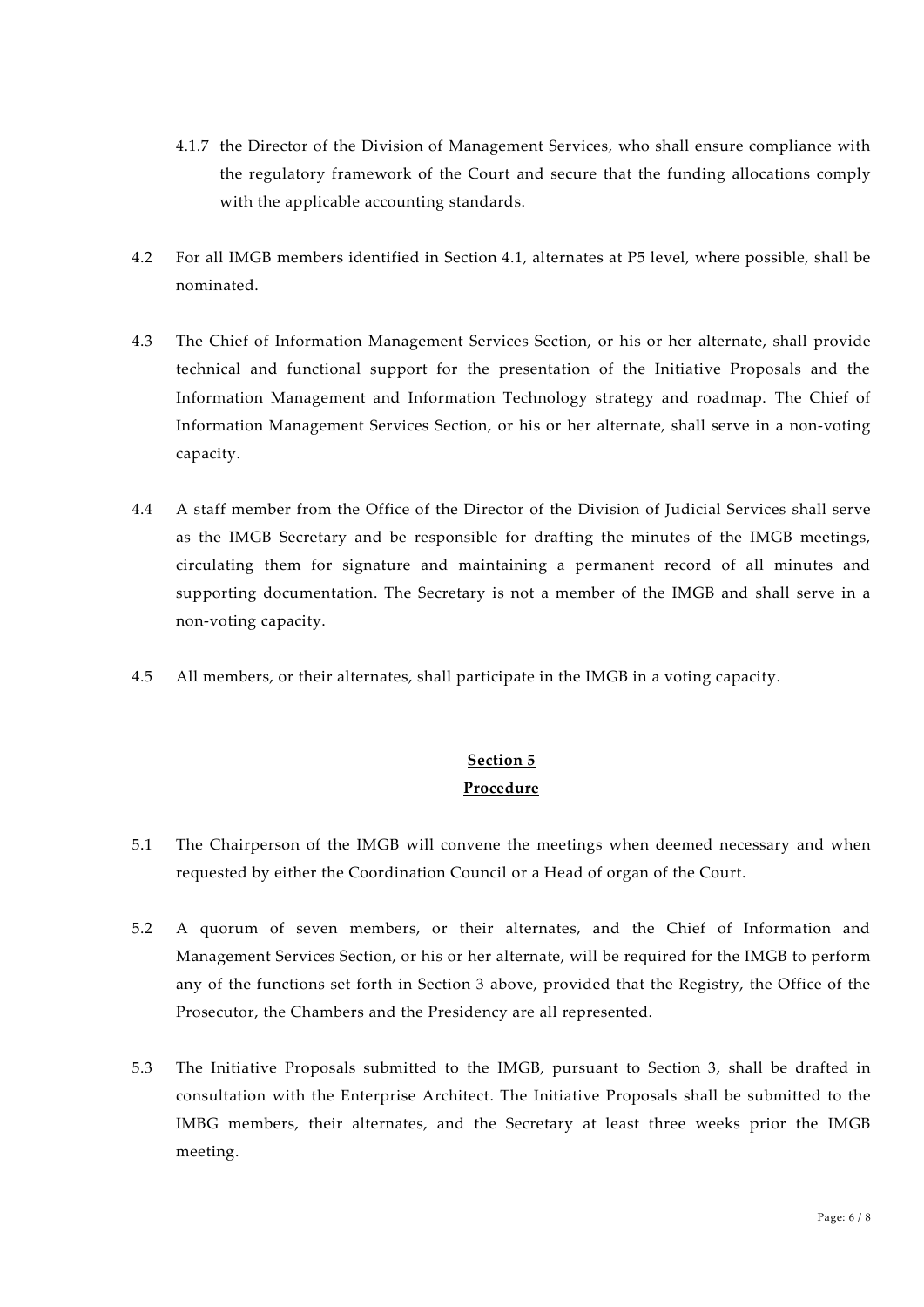- 4.1.7 the Director of the Division of Management Services, who shall ensure compliance with the regulatory framework of the Court and secure that the funding allocations comply with the applicable accounting standards.
- 4.2 For all IMGB members identified in Section 4.1, alternates at P5 level, where possible, shall be nominated.
- 4.3 The Chief of Information Management Services Section, or his or her alternate, shall provide technical and functional support for the presentation of the Initiative Proposals and the Information Management and Information Technology strategy and roadmap. The Chief of Information Management Services Section, or his or her alternate, shall serve in a non-voting capacity.
- 4.4 A staff member from the Office of the Director of the Division of Judicial Services shall serve as the IMGB Secretary and be responsible for drafting the minutes of the IMGB meetings, circulating them for signature and maintaining a permanent record of all minutes and supporting documentation. The Secretary is not a member of the IMGB and shall serve in a non-voting capacity.
- 4.5 All members, or their alternates, shall participate in the IMGB in a voting capacity.

## **Section 5 Procedure**

- 5.1 The Chairperson of the IMGB will convene the meetings when deemed necessary and when requested by either the Coordination Council or a Head of organ of the Court.
- 5.2 A quorum of seven members, or their alternates, and the Chief of Information and Management Services Section, or his or her alternate, will be required for the IMGB to perform any of the functions set forth in Section 3 above, provided that the Registry, the Office of the Prosecutor, the Chambers and the Presidency are all represented.
- 5.3 The Initiative Proposals submitted to the IMGB, pursuant to Section 3, shall be drafted in consultation with the Enterprise Architect. The Initiative Proposals shall be submitted to the IMBG members, their alternates, and the Secretary at least three weeks prior the IMGB meeting.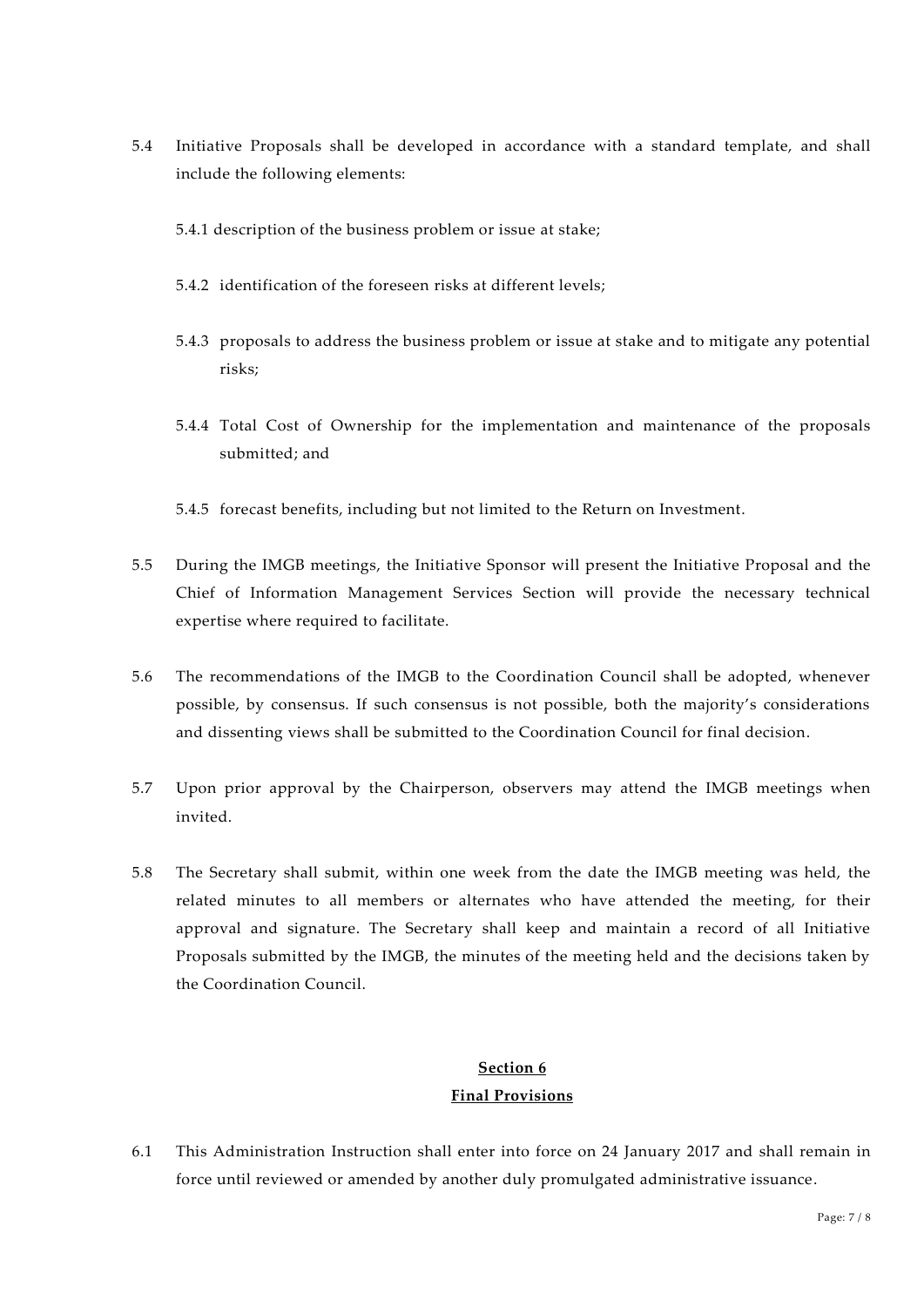- 5.4 Initiative Proposals shall be developed in accordance with a standard template, and shall include the following elements:
	- 5.4.1 description of the business problem or issue at stake;
	- 5.4.2 identification of the foreseen risks at different levels;
	- 5.4.3 proposals to address the business problem or issue at stake and to mitigate any potential risks;
	- 5.4.4 Total Cost of Ownership for the implementation and maintenance of the proposals submitted; and
	- 5.4.5 forecast benefits, including but not limited to the Return on Investment.
- 5.5 During the IMGB meetings, the Initiative Sponsor will present the Initiative Proposal and the Chief of Information Management Services Section will provide the necessary technical expertise where required to facilitate.
- 5.6 The recommendations of the IMGB to the Coordination Council shall be adopted, whenever possible, by consensus. If such consensus is not possible, both the majority's considerations and dissenting views shall be submitted to the Coordination Council for final decision.
- 5.7 Upon prior approval by the Chairperson, observers may attend the IMGB meetings when invited.
- 5.8 The Secretary shall submit, within one week from the date the IMGB meeting was held, the related minutes to all members or alternates who have attended the meeting, for their approval and signature. The Secretary shall keep and maintain a record of all Initiative Proposals submitted by the IMGB, the minutes of the meeting held and the decisions taken by the Coordination Council.

#### **Section 6**

#### **Final Provisions**

6.1 This Administration Instruction shall enter into force on 24 January 2017 and shall remain in force until reviewed or amended by another duly promulgated administrative issuance.